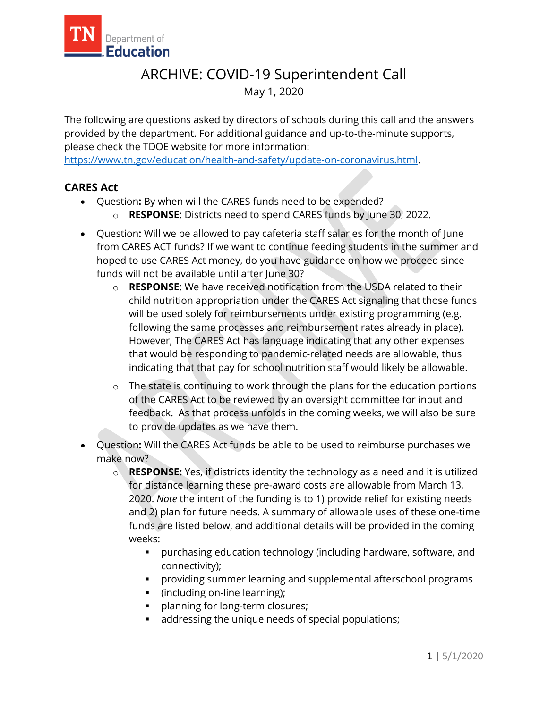

## ARCHIVE: COVID-19 Superintendent Call May 1, 2020

The following are questions asked by directors of schools during this call and the answers provided by the department. For additional guidance and up-to-the-minute supports, please check the TDOE website for more information:

[https://www.tn.gov/education/health-and-safety/update-on-coronavirus.html.](https://www.tn.gov/education/health-and-safety/update-on-coronavirus.html)

## **CARES Act**

- Question**:** By when will the CARES funds need to be expended?
	- o **RESPONSE**: Districts need to spend CARES funds by June 30, 2022.
- Question**:** Will we be allowed to pay cafeteria staff salaries for the month of June from CARES ACT funds? If we want to continue feeding students in the summer and hoped to use CARES Act money, do you have guidance on how we proceed since funds will not be available until after June 30?
	- o **RESPONSE**: We have received notification from the USDA related to their child nutrition appropriation under the CARES Act signaling that those funds will be used solely for reimbursements under existing programming (e.g. following the same processes and reimbursement rates already in place). However, The CARES Act has language indicating that any other expenses that would be responding to pandemic-related needs are allowable, thus indicating that that pay for school nutrition staff would likely be allowable.
	- o The state is continuing to work through the plans for the education portions of the CARES Act to be reviewed by an oversight committee for input and feedback. As that process unfolds in the coming weeks, we will also be sure to provide updates as we have them.
- Question**:** Will the CARES Act funds be able to be used to reimburse purchases we make now?
	- o **RESPONSE:** Yes, if districts identity the technology as a need and it is utilized for distance learning these pre-award costs are allowable from March 13, 2020. *Note* the intent of the funding is to 1) provide relief for existing needs and 2) plan for future needs. A summary of allowable uses of these one-time funds are listed below, and additional details will be provided in the coming weeks:
		- purchasing education technology (including hardware, software, and connectivity);
		- providing summer learning and supplemental afterschool programs
		- (including on-line learning);
		- **planning for long-term closures;**
		- addressing the unique needs of special populations;